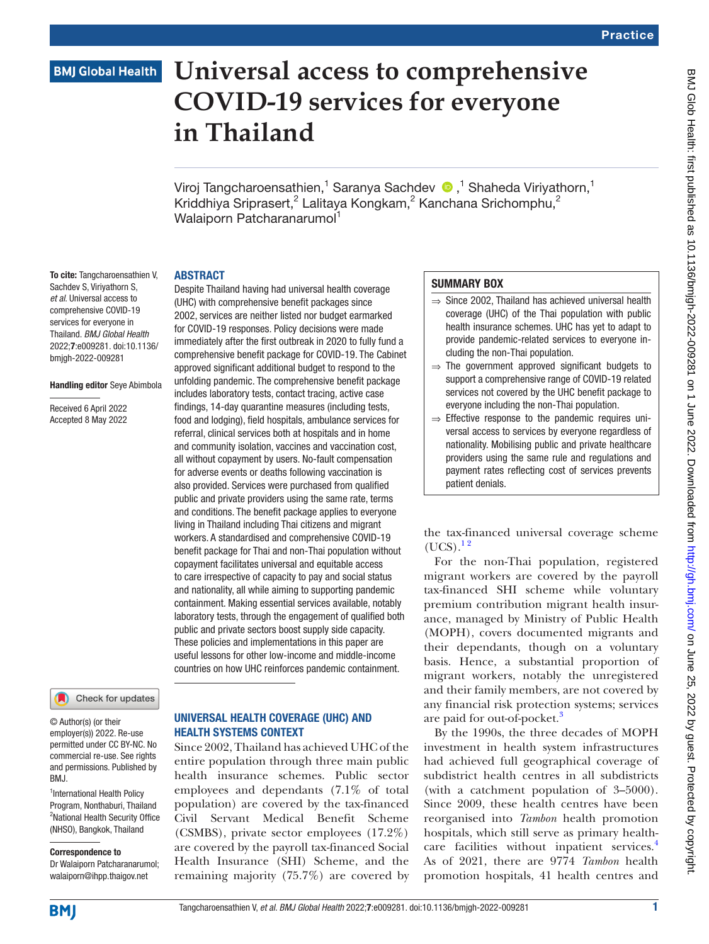# **BMJ Global Health**

# **Universal access to comprehensive COVID-19 services for everyone in Thailand**

Viroj Tangcharoensathien,<sup>1</sup> Saranya Sachdev (D,<sup>1</sup> Shaheda Viriyathorn,<sup>1</sup> Kriddhiya Sriprasert,<sup>2</sup> Lalitaya Kongkam,<sup>2</sup> Kanchana Srichomphu,<sup>2</sup> Walaiporn Patcharanarumol<sup>1</sup>

#### ABSTRACT

Despite Thailand having had universal health coverage (UHC) with comprehensive benefit packages since 2002, services are neither listed nor budget earmarked for COVID-19 responses. Policy decisions were made immediately after the first outbreak in 2020 to fully fund a comprehensive benefit package for COVID-19. The Cabinet approved significant additional budget to respond to the unfolding pandemic. The comprehensive benefit package includes laboratory tests, contact tracing, active case findings, 14-day quarantine measures (including tests, food and lodging), field hospitals, ambulance services for referral, clinical services both at hospitals and in home and community isolation, vaccines and vaccination cost, all without copayment by users. No-fault compensation for adverse events or deaths following vaccination is also provided. Services were purchased from qualified public and private providers using the same rate, terms and conditions. The benefit package applies to everyone living in Thailand including Thai citizens and migrant workers. A standardised and comprehensive COVID-19 benefit package for Thai and non-Thai population without copayment facilitates universal and equitable access to care irrespective of capacity to pay and social status and nationality, all while aiming to supporting pandemic containment. Making essential services available, notably laboratory tests, through the engagement of qualified both public and private sectors boost supply side capacity. These policies and implementations in this paper are useful lessons for other low-income and middle-income countries on how UHC reinforces pandemic containment.

To cite: Tangcharoensathien V, Sachdev S, Viriyathorn S, *et al*. Universal access to comprehensive COVID-19 services for everyone in Thailand. *BMJ Global Health* 2022;7:e009281. doi:10.1136/ bmjgh-2022-009281

#### Handling editor Seye Abimbola

Received 6 April 2022 Accepted 8 May 2022

#### Check for updates

© Author(s) (or their employer(s)) 2022. Re-use permitted under CC BY-NC. No commercial re-use. See rights and permissions. Published by RM<sub>J</sub>

<sup>1</sup>International Health Policy Program, Nonthaburi, Thailand <sup>2</sup>National Health Security Office (NHSO), Bangkok, Thailand

Correspondence to

Dr Walaiporn Patcharanarumol; walaiporn@ihpp.thaigov.net

## UNIVERSAL HEALTH COVERAGE (UHC) AND HEALTH SYSTEMS CONTEXT

Since 2002, Thailand has achieved UHC of the entire population through three main public health insurance schemes. Public sector employees and dependants (7.1% of total population) are covered by the tax-financed Civil Servant Medical Benefit Scheme (CSMBS), private sector employees (17.2%) are covered by the payroll tax-financed Social Health Insurance (SHI) Scheme, and the remaining majority (75.7%) are covered by

#### SUMMARY BOX

- ⇒ Since 2002, Thailand has achieved universal health coverage (UHC) of the Thai population with public health insurance schemes. UHC has yet to adapt to provide pandemic-related services to everyone including the non-Thai population.
- ⇒ The government approved significant budgets to support a comprehensive range of COVID-19 related services not covered by the UHC benefit package to everyone including the non-Thai population.
- $\Rightarrow$  Effective response to the pandemic requires universal access to services by everyone regardless of nationality. Mobilising public and private healthcare providers using the same rule and regulations and payment rates reflecting cost of services prevents patient denials.

the tax-financed universal coverage scheme  $(UCS).^{12}$ 

For the non-Thai population, registered migrant workers are covered by the payroll tax-financed SHI scheme while voluntary premium contribution migrant health insurance, managed by Ministry of Public Health (MOPH), covers documented migrants and their dependants, though on a voluntary basis. Hence, a substantial proportion of migrant workers, notably the unregistered and their family members, are not covered by any financial risk protection systems; services are paid for out-of-pocket.<sup>[3](#page-4-1)</sup>

By the 1990s, the three decades of MOPH investment in health system infrastructures had achieved full geographical coverage of subdistrict health centres in all subdistricts (with a catchment population of 3–5000). Since 2009, these health centres have been reorganised into *Tambon* health promotion hospitals, which still serve as primary health-care facilities without inpatient services.<sup>[4](#page-4-2)</sup> As of 2021, there are 9774 *Tambon* health promotion hospitals, 41 health centres and

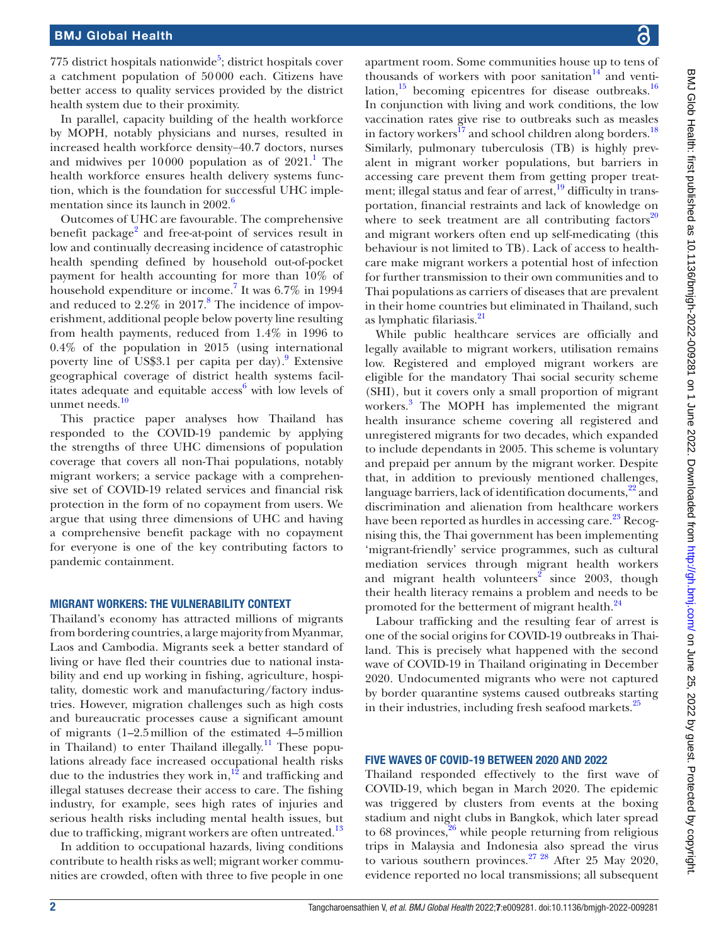775 district hospitals nationwide<sup>5</sup>; district hospitals cover a catchment population of 50000 each. Citizens have better access to quality services provided by the district health system due to their proximity.

In parallel, capacity building of the health workforce by MOPH, notably physicians and nurses, resulted in increased health workforce density−40.7 doctors, nurses and midwives per  $10000$  $10000$  population as of  $2021$ .<sup>1</sup> The health workforce ensures health delivery systems function, which is the foundation for successful UHC implementation since its launch in  $2002<sup>6</sup>$ 

Outcomes of UHC are favourable. The comprehensive benefit package<sup>[2](#page-4-5)</sup> and free-at-point of services result in low and continually decreasing incidence of catastrophic health spending defined by household out-of-pocket payment for health accounting for more than 10% of household expenditure or income.<sup>[7](#page-4-6)</sup> It was 6.7% in 1994 and reduced to  $2.2\%$  in  $2017.8$  $2017.8$  The incidence of impoverishment, additional people below poverty line resulting from health payments, reduced from 1.4% in 1996 to 0.4% of the population in 2015 (using international poverty line of US\$3.1 per capita per day).<sup>9</sup> Extensive geographical coverage of district health systems facil-itates adequate and equitable access<sup>[6](#page-4-4)</sup> with low levels of unmet needs.<sup>[10](#page-4-9)</sup>

This practice paper analyses how Thailand has responded to the COVID-19 pandemic by applying the strengths of three UHC dimensions of population coverage that covers all non-Thai populations, notably migrant workers; a service package with a comprehensive set of COVID-19 related services and financial risk protection in the form of no copayment from users. We argue that using three dimensions of UHC and having a comprehensive benefit package with no copayment for everyone is one of the key contributing factors to pandemic containment.

#### MIGRANT WORKERS: THE VULNERABILITY CONTEXT

Thailand's economy has attracted millions of migrants from bordering countries, a large majority from Myanmar, Laos and Cambodia. Migrants seek a better standard of living or have fled their countries due to national instability and end up working in fishing, agriculture, hospitality, domestic work and manufacturing/factory industries. However, migration challenges such as high costs and bureaucratic processes cause a significant amount of migrants (1–2.5million of the estimated 4–5million in Thailand) to enter Thailand illegally.<sup>11</sup> These populations already face increased occupational health risks due to the industries they work in, $^{12}$  and trafficking and illegal statuses decrease their access to care. The fishing industry, for example, sees high rates of injuries and serious health risks including mental health issues, but due to trafficking, migrant workers are often untreated.<sup>13</sup>

In addition to occupational hazards, living conditions contribute to health risks as well; migrant worker communities are crowded, often with three to five people in one

apartment room. Some communities house up to tens of thousands of workers with poor sanitation $14$  and ventilation, $15$  becoming epicentres for disease outbreaks.<sup>16</sup> In conjunction with living and work conditions, the low vaccination rates give rise to outbreaks such as measles in factory workers<sup>[17](#page-4-16)</sup> and school children along borders.<sup>18</sup> Similarly, pulmonary tuberculosis (TB) is highly prevalent in migrant worker populations, but barriers in accessing care prevent them from getting proper treat-ment; illegal status and fear of arrest,<sup>[19](#page-4-18)</sup> difficulty in transportation, financial restraints and lack of knowledge on where to seek treatment are all contributing factors $^{20}$ and migrant workers often end up self-medicating (this behaviour is not limited to TB). Lack of access to healthcare make migrant workers a potential host of infection for further transmission to their own communities and to Thai populations as carriers of diseases that are prevalent in their home countries but eliminated in Thailand, such as lymphatic filariasis.<sup>[21](#page-5-1)</sup>

While public healthcare services are officially and legally available to migrant workers, utilisation remains low. Registered and employed migrant workers are eligible for the mandatory Thai social security scheme (SHI), but it covers only a small proportion of migrant workers.<sup>3</sup> The MOPH has implemented the migrant health insurance scheme covering all registered and unregistered migrants for two decades, which expanded to include dependants in 2005. This scheme is voluntary and prepaid per annum by the migrant worker. Despite that, in addition to previously mentioned challenges, language barriers, lack of identification documents, $2^2$  and discrimination and alienation from healthcare workers have been reported as hurdles in accessing care.<sup>23</sup> Recognising this, the Thai government has been implementing 'migrant-friendly' service programmes, such as cultural mediation services through migrant health workers and migrant health volunteers<sup>[2](#page-4-5)</sup> since 2003, though their health literacy remains a problem and needs to be promoted for the betterment of migrant health.<sup>[24](#page-5-4)</sup>

Labour trafficking and the resulting fear of arrest is one of the social origins for COVID-19 outbreaks in Thailand. This is precisely what happened with the second wave of COVID-19 in Thailand originating in December 2020. Undocumented migrants who were not captured by border quarantine systems caused outbreaks starting in their industries, including fresh seafood markets. $25$ 

#### FIVE WAVES OF COVID-19 BETWEEN 2020 AND 2022

Thailand responded effectively to the first wave of COVID-19, which began in March 2020. The epidemic was triggered by clusters from events at the boxing stadium and night clubs in Bangkok, which later spread to 68 provinces, $26$  while people returning from religious trips in Malaysia and Indonesia also spread the virus to various southern provinces. $27 \frac{28}{10}$  After 25 May 2020, evidence reported no local transmissions; all subsequent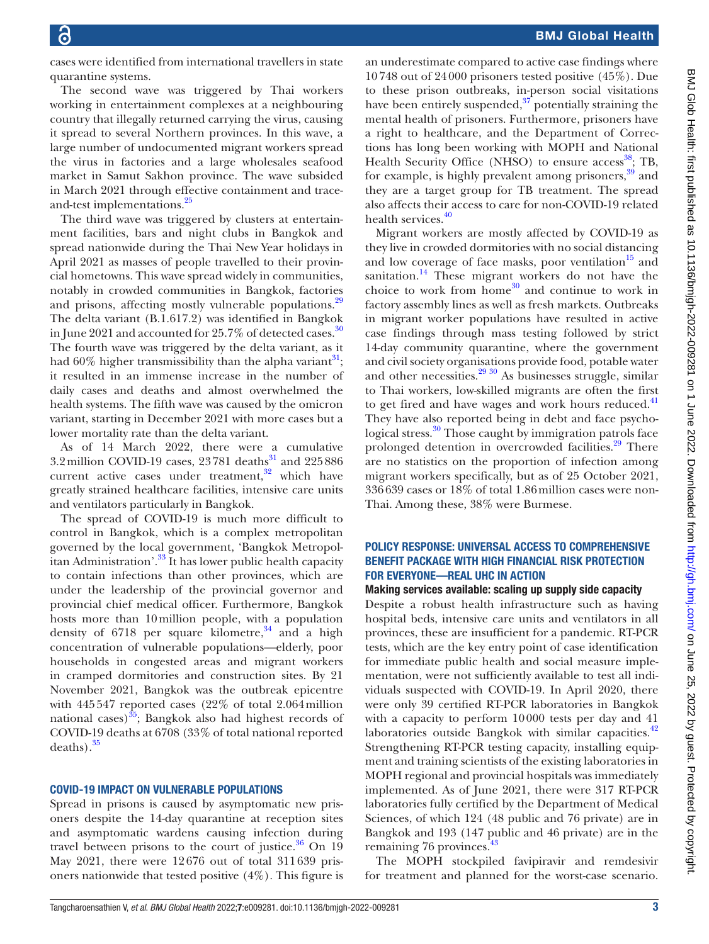cases were identified from international travellers in state quarantine systems.

The second wave was triggered by Thai workers working in entertainment complexes at a neighbouring country that illegally returned carrying the virus, causing it spread to several Northern provinces. In this wave, a large number of undocumented migrant workers spread the virus in factories and a large wholesales seafood market in Samut Sakhon province. The wave subsided in March 2021 through effective containment and trace-and-test implementations.<sup>[25](#page-5-5)</sup>

The third wave was triggered by clusters at entertainment facilities, bars and night clubs in Bangkok and spread nationwide during the Thai New Year holidays in April 2021 as masses of people travelled to their provincial hometowns. This wave spread widely in communities, notably in crowded communities in Bangkok, factories and prisons, affecting mostly vulnerable populations.<sup>29</sup> The delta variant (B.1.617.2) was identified in Bangkok in June 2021 and accounted for 25.7% of detected cases.<sup>30</sup> The fourth wave was triggered by the delta variant, as it had  $60\%$  higher transmissibility than the alpha variant<sup>[31](#page-5-10)</sup>; it resulted in an immense increase in the number of daily cases and deaths and almost overwhelmed the health systems. The fifth wave was caused by the omicron variant, starting in December 2021 with more cases but a lower mortality rate than the delta variant.

As of 14 March 2022, there were a cumulative 3.2 million COVID-19 cases,  $23781$  deaths<sup>31</sup> and  $225886$ current active cases under treatment, $32$  which have greatly strained healthcare facilities, intensive care units and ventilators particularly in Bangkok.

The spread of COVID-19 is much more difficult to control in Bangkok, which is a complex metropolitan governed by the local government, 'Bangkok Metropolitan Administration'.[33](#page-5-12) It has lower public health capacity to contain infections than other provinces, which are under the leadership of the provincial governor and provincial chief medical officer. Furthermore, Bangkok hosts more than 10million people, with a population density of 6718 per square kilometre,<sup>[34](#page-5-13)</sup> and a high concentration of vulnerable populations—elderly, poor households in congested areas and migrant workers in cramped dormitories and construction sites. By 21 November 2021, Bangkok was the outbreak epicentre with 445547 reported cases (22% of total 2.064million national cases) $35$ ; Bangkok also had highest records of COVID-19 deaths at 6708 (33% of total national reported  $deaths$ ).  $35$ 

#### COVID-19 IMPACT ON VULNERABLE POPULATIONS

Spread in prisons is caused by asymptomatic new prisoners despite the 14-day quarantine at reception sites and asymptomatic wardens causing infection during travel between prisons to the court of justice. $36$  On 19 May 2021, there were 12676 out of total 311639 prisoners nationwide that tested positive (4%). This figure is

an underestimate compared to active case findings where 10748 out of 24000 prisoners tested positive (45%). Due to these prison outbreaks, in-person social visitations have been entirely suspended, $37$  potentially straining the mental health of prisoners. Furthermore, prisoners have a right to healthcare, and the Department of Corrections has long been working with MOPH and National Health Security Office (NHSO) to ensure access<sup>[38](#page-5-17)</sup>; TB, for example, is highly prevalent among prisoners,<sup>[39](#page-5-18)</sup> and they are a target group for TB treatment. The spread also affects their access to care for non-COVID-19 related health services.<sup>[40](#page-5-19)</sup>

Migrant workers are mostly affected by COVID-19 as they live in crowded dormitories with no social distancing and low coverage of face masks, poor ventilation $15$  and sanitation.<sup>[14](#page-4-13)</sup> These migrant workers do not have the choice to work from home<sup>30</sup> and continue to work in factory assembly lines as well as fresh markets. Outbreaks in migrant worker populations have resulted in active case findings through mass testing followed by strict 14-day community quarantine, where the government and civil society organisations provide food, potable water and other necessities. $2930$  As businesses struggle, similar to Thai workers, low-skilled migrants are often the first to get fired and have wages and work hours reduced.<sup>[41](#page-5-20)</sup> They have also reported being in debt and face psycho-logical stress.<sup>[30](#page-5-9)</sup> Those caught by immigration patrols face prolonged detention in overcrowded facilities.<sup>29</sup> There are no statistics on the proportion of infection among migrant workers specifically, but as of 25 October 2021, 336639 cases or 18% of total 1.86million cases were non-Thai. Among these, 38% were Burmese.

#### POLICY RESPONSE: UNIVERSAL ACCESS TO COMPREHENSIVE BENEFIT PACKAGE WITH HIGH FINANCIAL RISK PROTECTION FOR EVERYONE—REAL UHC IN ACTION

Making services available: scaling up supply side capacity

Despite a robust health infrastructure such as having hospital beds, intensive care units and ventilators in all provinces, these are insufficient for a pandemic. RT-PCR tests, which are the key entry point of case identification for immediate public health and social measure implementation, were not sufficiently available to test all individuals suspected with COVID-19. In April 2020, there were only 39 certified RT-PCR laboratories in Bangkok with a capacity to perform 10000 tests per day and 41 laboratories outside Bangkok with similar capacities.<sup>42</sup> Strengthening RT-PCR testing capacity, installing equipment and training scientists of the existing laboratories in MOPH regional and provincial hospitals was immediately implemented. As of June 2021, there were 317 RT-PCR laboratories fully certified by the Department of Medical Sciences, of which 124 (48 public and 76 private) are in Bangkok and 193 (147 public and 46 private) are in the remaining 76 provinces.<sup>[43](#page-5-22)</sup>

The MOPH stockpiled favipiravir and remdesivir for treatment and planned for the worst-case scenario.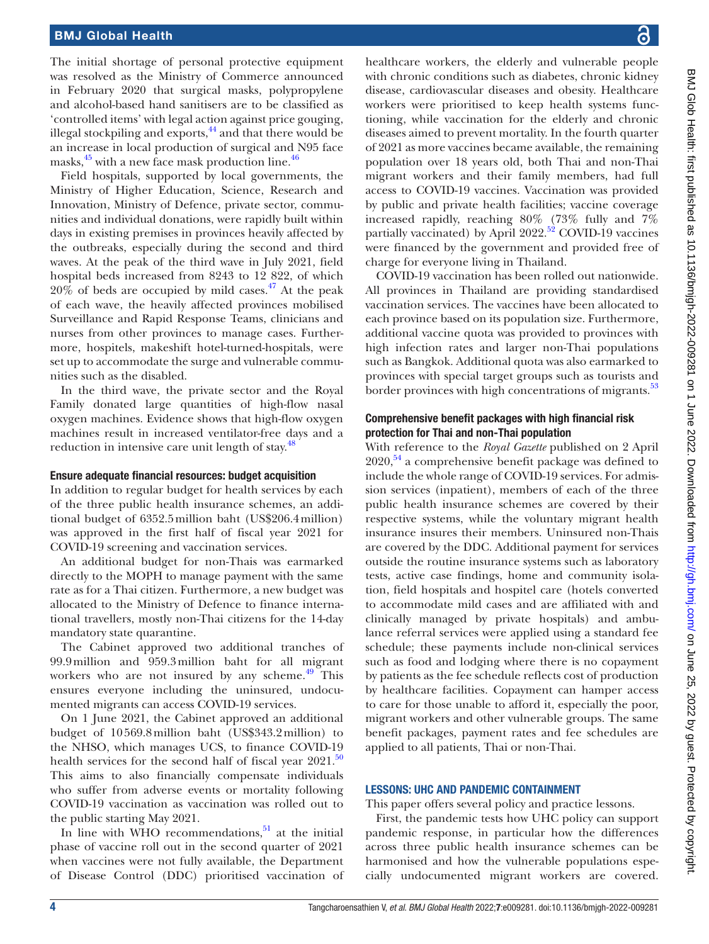The initial shortage of personal protective equipment was resolved as the Ministry of Commerce announced in February 2020 that surgical masks, polypropylene and alcohol-based hand sanitisers are to be classified as 'controlled items' with legal action against price gouging, illegal stockpiling and exports,<sup>44</sup> and that there would be an increase in local production of surgical and N95 face masks, $45$  with a new face mask production line. $46$ 

Field hospitals, supported by local governments, the Ministry of Higher Education, Science, Research and Innovation, Ministry of Defence, private sector, communities and individual donations, were rapidly built within days in existing premises in provinces heavily affected by the outbreaks, especially during the second and third waves. At the peak of the third wave in July 2021, field hospital beds increased from 8243 to 12 822, of which  $20\%$  of beds are occupied by mild cases.<sup>47</sup> At the peak of each wave, the heavily affected provinces mobilised Surveillance and Rapid Response Teams, clinicians and nurses from other provinces to manage cases. Furthermore, hospitels, makeshift hotel-turned-hospitals, were set up to accommodate the surge and vulnerable communities such as the disabled.

In the third wave, the private sector and the Royal Family donated large quantities of high-flow nasal oxygen machines. Evidence shows that high-flow oxygen machines result in increased ventilator-free days and a reduction in intensive care unit length of stay.<sup>[48](#page-5-27)</sup>

#### Ensure adequate financial resources: budget acquisition

In addition to regular budget for health services by each of the three public health insurance schemes, an additional budget of 6352.5million baht (US\$206.4million) was approved in the first half of fiscal year 2021 for COVID-19 screening and vaccination services.

An additional budget for non-Thais was earmarked directly to the MOPH to manage payment with the same rate as for a Thai citizen. Furthermore, a new budget was allocated to the Ministry of Defence to finance international travellers, mostly non-Thai citizens for the 14-day mandatory state quarantine.

The Cabinet approved two additional tranches of 99.9million and 959.3million baht for all migrant workers who are not insured by any scheme. $49$  This ensures everyone including the uninsured, undocumented migrants can access COVID-19 services.

On 1 June 2021, the Cabinet approved an additional budget of 10569.8million baht (US\$343.2million) to the NHSO, which manages UCS, to finance COVID-19 health services for the second half of fiscal year  $2021$ .<sup>[50](#page-5-29)</sup> This aims to also financially compensate individuals who suffer from adverse events or mortality following COVID-19 vaccination as vaccination was rolled out to the public starting May 2021.

In line with WHO recommendations, $51$  at the initial phase of vaccine roll out in the second quarter of 2021 when vaccines were not fully available, the Department of Disease Control (DDC) prioritised vaccination of

healthcare workers, the elderly and vulnerable people with chronic conditions such as diabetes, chronic kidney disease, cardiovascular diseases and obesity. Healthcare workers were prioritised to keep health systems functioning, while vaccination for the elderly and chronic diseases aimed to prevent mortality. In the fourth quarter of 2021 as more vaccines became available, the remaining population over 18 years old, both Thai and non-Thai migrant workers and their family members, had full access to COVID-19 vaccines. Vaccination was provided by public and private health facilities; vaccine coverage increased rapidly, reaching 80% (73% fully and 7% partially vaccinated) by April 2022.<sup>52</sup> COVID-19 vaccines were financed by the government and provided free of charge for everyone living in Thailand.

COVID-19 vaccination has been rolled out nationwide. All provinces in Thailand are providing standardised vaccination services. The vaccines have been allocated to each province based on its population size. Furthermore, additional vaccine quota was provided to provinces with high infection rates and larger non-Thai populations such as Bangkok. Additional quota was also earmarked to provinces with special target groups such as tourists and border provinces with high concentrations of migrants.<sup>[53](#page-5-32)</sup>

## Comprehensive benefit packages with high financial risk protection for Thai and non-Thai population

With reference to the *Royal Gazette* published on 2 April  $2020$ ,  $54$  a comprehensive benefit package was defined to include the whole range of COVID-19 services. For admission services (inpatient), members of each of the three public health insurance schemes are covered by their respective systems, while the voluntary migrant health insurance insures their members. Uninsured non-Thais are covered by the DDC. Additional payment for services outside the routine insurance systems such as laboratory tests, active case findings, home and community isolation, field hospitals and hospitel care (hotels converted to accommodate mild cases and are affiliated with and clinically managed by private hospitals) and ambulance referral services were applied using a standard fee schedule; these payments include non-clinical services such as food and lodging where there is no copayment by patients as the fee schedule reflects cost of production by healthcare facilities. Copayment can hamper access to care for those unable to afford it, especially the poor, migrant workers and other vulnerable groups. The same benefit packages, payment rates and fee schedules are applied to all patients, Thai or non-Thai.

### LESSONS: UHC AND PANDEMIC CONTAINMENT

This paper offers several policy and practice lessons.

First, the pandemic tests how UHC policy can support pandemic response, in particular how the differences across three public health insurance schemes can be harmonised and how the vulnerable populations especially undocumented migrant workers are covered.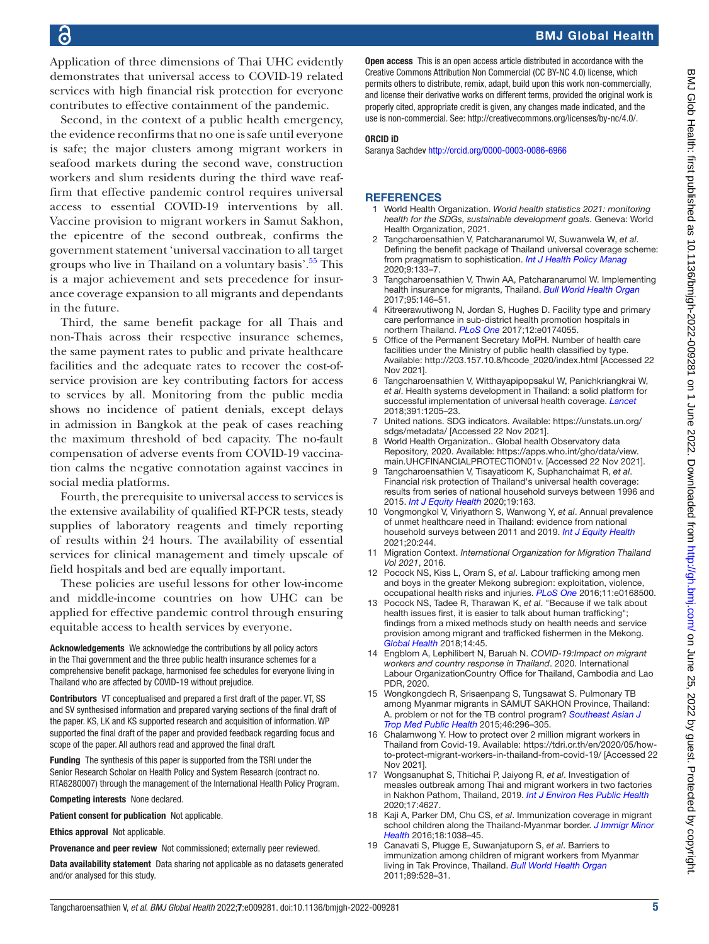Application of three dimensions of Thai UHC evidently demonstrates that universal access to COVID-19 related services with high financial risk protection for everyone contributes to effective containment of the pandemic.

Second, in the context of a public health emergency, the evidence reconfirms that no one is safe until everyone is safe; the major clusters among migrant workers in seafood markets during the second wave, construction workers and slum residents during the third wave reaffirm that effective pandemic control requires universal access to essential COVID-19 interventions by all. Vaccine provision to migrant workers in Samut Sakhon, the epicentre of the second outbreak, confirms the government statement 'universal vaccination to all target groups who live in Thailand on a voluntary basis'.<sup>55</sup> This is a major achievement and sets precedence for insurance coverage expansion to all migrants and dependants in the future.

Third, the same benefit package for all Thais and non-Thais across their respective insurance schemes, the same payment rates to public and private healthcare facilities and the adequate rates to recover the cost-ofservice provision are key contributing factors for access to services by all. Monitoring from the public media shows no incidence of patient denials, except delays in admission in Bangkok at the peak of cases reaching the maximum threshold of bed capacity. The no-fault compensation of adverse events from COVID-19 vaccination calms the negative connotation against vaccines in social media platforms.

Fourth, the prerequisite to universal access to services is the extensive availability of qualified RT-PCR tests, steady supplies of laboratory reagents and timely reporting of results within 24 hours. The availability of essential services for clinical management and timely upscale of field hospitals and bed are equally important.

These policies are useful lessons for other low-income and middle-income countries on how UHC can be applied for effective pandemic control through ensuring equitable access to health services by everyone.

Acknowledgements We acknowledge the contributions by all policy actors in the Thai government and the three public health insurance schemes for a comprehensive benefit package, harmonised fee schedules for everyone living in Thailand who are affected by COVID-19 without prejudice.

Contributors VT conceptualised and prepared a first draft of the paper. VT, SS and SV synthesised information and prepared varying sections of the final draft of the paper. KS, LK and KS supported research and acquisition of information. WP supported the final draft of the paper and provided feedback regarding focus and scope of the paper. All authors read and approved the final draft.

Funding The synthesis of this paper is supported from the TSRI under the Senior Research Scholar on Health Policy and System Research (contract no. RTA6280007) through the management of the International Health Policy Program.

Competing interests None declared.

Patient consent for publication Not applicable.

Ethics approval Not applicable.

Provenance and peer review Not commissioned; externally peer reviewed.

Data availability statement Data sharing not applicable as no datasets generated and/or analysed for this study.

Open access This is an open access article distributed in accordance with the Creative Commons Attribution Non Commercial (CC BY-NC 4.0) license, which permits others to distribute, remix, adapt, build upon this work non-commercially, and license their derivative works on different terms, provided the original work is properly cited, appropriate credit is given, any changes made indicated, and the use is non-commercial. See:<http://creativecommons.org/licenses/by-nc/4.0/>.

#### ORCID iD

Saranya Sachdev<http://orcid.org/0000-0003-0086-6966>

#### **REFERENCES**

- <span id="page-4-0"></span>1 World Health Organization. *World health statistics 2021: monitoring health for the SDGs, sustainable development goals*. Geneva: World Health Organization, 2021.
- <span id="page-4-5"></span>2 Tangcharoensathien V, Patcharanarumol W, Suwanwela W, *et al*. Defining the benefit package of Thailand universal coverage scheme: from pragmatism to sophistication. *[Int J Health Policy Manag](http://dx.doi.org/10.15171/ijhpm.2019.96)* 2020;9:133–7.
- <span id="page-4-1"></span>3 Tangcharoensathien V, Thwin AA, Patcharanarumol W. Implementing health insurance for migrants, Thailand. *[Bull World Health Organ](http://dx.doi.org/10.2471/BLT.16.179606)* 2017;95:146–51.
- <span id="page-4-2"></span>4 Kitreerawutiwong N, Jordan S, Hughes D. Facility type and primary care performance in sub-district health promotion hospitals in northern Thailand. *[PLoS One](http://dx.doi.org/10.1371/journal.pone.0174055)* 2017;12:e0174055.
- <span id="page-4-3"></span>5 Office of the Permanent Secretary MoPH. Number of health care facilities under the Ministry of public health classified by type. Available: [http://203.157.10.8/hcode\\_2020/index.html](http://203.157.10.8/hcode_2020/index.html) [Accessed 22 Nov 2021].
- <span id="page-4-4"></span>6 Tangcharoensathien V, Witthayapipopsakul W, Panichkriangkrai W, *et al*. Health systems development in Thailand: a solid platform for successful implementation of universal health coverage. *[Lancet](http://dx.doi.org/10.1016/S0140-6736(18)30198-3)* 2018;391:1205–23.
- <span id="page-4-6"></span>7 United nations. SDG indicators. Available: [https://unstats.un.org/](https://unstats.un.org/sdgs/metadata/) [sdgs/metadata/](https://unstats.un.org/sdgs/metadata/) [Accessed 22 Nov 2021].
- <span id="page-4-7"></span>8 World Health Organization.. Global health Observatory data Repository, 2020. Available: [https://apps.who.int/gho/data/view.](https://apps.who.int/gho/data/view.main.UHCFINANCIALPROTECTION01v.) [main.UHCFINANCIALPROTECTION01v.](https://apps.who.int/gho/data/view.main.UHCFINANCIALPROTECTION01v.) [Accessed 22 Nov 2021].
- <span id="page-4-8"></span>9 Tangcharoensathien V, Tisayaticom K, Suphanchaimat R, *et al*. Financial risk protection of Thailand's universal health coverage: results from series of national household surveys between 1996 and 2015. *[Int J Equity Health](http://dx.doi.org/10.1186/s12939-020-01273-6)* 2020;19:163.
- <span id="page-4-9"></span>10 Vongmongkol V, Viriyathorn S, Wanwong Y, *et al*. Annual prevalence of unmet healthcare need in Thailand: evidence from national household surveys between 2011 and 2019. *[Int J Equity Health](http://dx.doi.org/10.1186/s12939-021-01578-0)* 2021;20:244.
- <span id="page-4-10"></span>11 Migration Context. *International Organization for Migration Thailand Vol 2021*, 2016.
- <span id="page-4-11"></span>12 Pocock NS, Kiss L, Oram S, *et al*. Labour trafficking among men and boys in the greater Mekong subregion: exploitation, violence, occupational health risks and injuries. *[PLoS One](http://dx.doi.org/10.1371/journal.pone.0168500)* 2016;11:e0168500.
- <span id="page-4-12"></span>13 Pocock NS, Tadee R, Tharawan K, *et al*. "Because if we talk about health issues first, it is easier to talk about human trafficking"; findings from a mixed methods study on health needs and service provision among migrant and trafficked fishermen in the Mekong. *[Global Health](http://dx.doi.org/10.1186/s12992-018-0361-x)* 2018;14:45.
- <span id="page-4-13"></span>14 Engblom A, Lephilibert N, Baruah N. *COVID-19:Impact on migrant workers and country response in Thailand*. 2020. International Labour OrganizationCountry Office for Thailand, Cambodia and Lao PDR, 2020.
- <span id="page-4-14"></span>15 Wongkongdech R, Srisaenpang S, Tungsawat S. Pulmonary TB among Myanmar migrants in SAMUT SAKHON Province, Thailand: A. problem or not for the TB control program? *[Southeast Asian J](http://www.ncbi.nlm.nih.gov/pubmed/26513933)  [Trop Med Public Health](http://www.ncbi.nlm.nih.gov/pubmed/26513933)* 2015;46:296–305.
- <span id="page-4-15"></span>16 Chalamwong Y. How to protect over 2 million migrant workers in Thailand from Covid-19. Available: [https://tdri.or.th/en/2020/05/how](https://tdri.or.th/en/2020/05/how-to-protect-migrant-workers-in-thailand-from-covid-19/)[to-protect-migrant-workers-in-thailand-from-covid-19/](https://tdri.or.th/en/2020/05/how-to-protect-migrant-workers-in-thailand-from-covid-19/) [Accessed 22 Nov 2021].
- <span id="page-4-16"></span>17 Wongsanuphat S, Thitichai P, Jaiyong R, *et al*. Investigation of measles outbreak among Thai and migrant workers in two factories in Nakhon Pathom, Thailand, 2019. *[Int J Environ Res Public Health](http://dx.doi.org/10.3390/ijerph17134627)* 2020;17:4627.
- <span id="page-4-17"></span>18 Kaji A, Parker DM, Chu CS, *et al*. Immunization coverage in migrant school children along the Thailand-Myanmar border. *[J Immigr Minor](http://dx.doi.org/10.1007/s10903-015-0294-x)  [Health](http://dx.doi.org/10.1007/s10903-015-0294-x)* 2016;18:1038–45.
- <span id="page-4-18"></span>19 Canavati S, Plugge E, Suwanjatuporn S, *et al*. Barriers to immunization among children of migrant workers from Myanmar living in Tak Province, Thailand. *[Bull World Health Organ](http://dx.doi.org/10.2471/BLT.10.084244)* 2011;89:528–31.